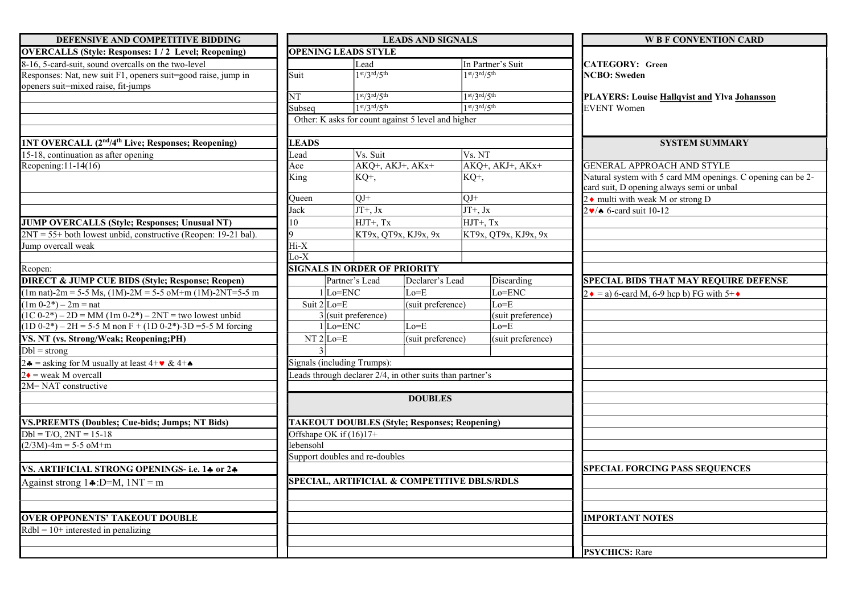| DEFENSIVE AND COMPETITIVE BIDDING                                                                    | <b>LEADS AND SIGNALS</b>                                      |                                                      |                   |                     | <b>W B F CONVENTION CARD</b> |                                                                                                          |  |
|------------------------------------------------------------------------------------------------------|---------------------------------------------------------------|------------------------------------------------------|-------------------|---------------------|------------------------------|----------------------------------------------------------------------------------------------------------|--|
| <b>OVERCALLS (Style: Responses: 1/2 Level; Reopening)</b>                                            | <b>OPENING LEADS STYLE</b>                                    |                                                      |                   |                     |                              |                                                                                                          |  |
| 8-16, 5-card-suit, sound overcalls on the two-level                                                  | Lead                                                          |                                                      | In Partner's Suit |                     | CATEGORY: Green              |                                                                                                          |  |
| Responses: Nat, new suit F1, openers suit=good raise, jump in<br>openers suit=mixed raise, fit-jumps | Suit                                                          | $1st/3rd/5th$                                        |                   | $1st/3rd/5th$       |                              | <b>NCBO</b> : Sweden                                                                                     |  |
|                                                                                                      | NT                                                            | $1st/3rd/5th$                                        |                   | $1st/3rd/5th$       |                              | PLAYERS: Louise Hallqvist and Ylva Johansson                                                             |  |
|                                                                                                      | Subseq                                                        | $1st/3rd/5th$                                        |                   | $1st/3rd/5th$       |                              | <b>EVENT</b> Women                                                                                       |  |
|                                                                                                      | Other: K asks for count against 5 level and higher            |                                                      |                   |                     |                              |                                                                                                          |  |
| <b>INT OVERCALL (2<sup>nd</sup>/4<sup>th</sup> Live; Responses; Reopening)</b>                       | <b>LEADS</b>                                                  |                                                      |                   |                     |                              | <b>SYSTEM SUMMARY</b>                                                                                    |  |
| 15-18, continuation as after opening                                                                 | Lead                                                          | Vs. Suit                                             |                   | Vs. NT              |                              |                                                                                                          |  |
| Reopening: $11-14(16)$                                                                               | AKQ <sup>+</sup> , AKJ <sup>+</sup> , AKx <sup>+</sup><br>Ace |                                                      |                   | $AKQ+$ , AKJ+, AKx+ |                              | <b>GENERAL APPROACH AND STYLE</b>                                                                        |  |
|                                                                                                      | King                                                          | KQ+,                                                 |                   | $KQ+$               |                              | Natural system with 5 card MM openings. C opening can be 2-<br>card suit, D opening always semi or unbal |  |
|                                                                                                      | Oueen                                                         | $OJ+$                                                |                   | $OJ+$               |                              | $2 \cdot$ multi with weak M or strong D                                                                  |  |
|                                                                                                      | Jack                                                          | $JT+$ , Jx                                           |                   | $JT+$ , $Jx$        |                              | $2 \cdot 6$ -card suit 10-12                                                                             |  |
| JUMP OVERCALLS (Style; Responses; Unusual NT)                                                        | 10                                                            | HJT+, Tx                                             |                   | HJT+, Tx            |                              |                                                                                                          |  |
| $2NT = 55 +$ both lowest unbid, constructive (Reopen: 19-21 bal).                                    | lq.                                                           | KT9x, QT9x, KJ9x, 9x                                 |                   |                     | KT9x, QT9x, KJ9x, 9x         |                                                                                                          |  |
| Jump overcall weak                                                                                   | Hi-X                                                          |                                                      |                   |                     |                              |                                                                                                          |  |
|                                                                                                      | $Lo-X$                                                        |                                                      |                   |                     |                              |                                                                                                          |  |
| Reopen:                                                                                              | <b>SIGNALS IN ORDER OF PRIORITY</b>                           |                                                      |                   |                     |                              |                                                                                                          |  |
| <b>DIRECT &amp; JUMP CUE BIDS (Style; Response; Reopen)</b>                                          |                                                               | Partner's Lead<br>Declarer's Lead                    |                   |                     | Discarding                   | <b>SPECIAL BIDS THAT MAY REQUIRE DEFENSE</b>                                                             |  |
| $(1m \text{ nat})$ -2m = 5-5 Ms, $(1M)$ -2M = 5-5 oM+m $(1M)$ -2NT=5-5 m                             | $1$ Lo=ENC                                                    |                                                      | Lo=E              |                     | Lo=ENC                       | $2 \cdot = a$ ) 6-card M, 6-9 hcp b) FG with 5+ $\cdot$                                                  |  |
| $(1m 0-2^*) - 2m = nat$                                                                              | Suit $2$ Lo=E                                                 |                                                      | (suit preference) |                     | Lo=E                         |                                                                                                          |  |
| $(1C 0-2^*) - 2D = MM (1m 0-2^*) - 2NT = two lowest umbid$                                           | $3$ (suit preference)                                         |                                                      |                   |                     | (suit preference)            |                                                                                                          |  |
| $(1D 0-2^*) - 2H = 5-5 M$ non F + $(1D 0-2^*)$ -3D = 5-5 M forcing                                   | $1$ Lo=ENC                                                    |                                                      | $Lo = E$          |                     | Lo=E                         |                                                                                                          |  |
| VS. NT (vs. Strong/Weak; Reopening;PH)                                                               |                                                               | $NT2$ Lo=E                                           |                   | (suit preference)   | (suit preference)            |                                                                                                          |  |
| $Dbl = strong$                                                                                       |                                                               |                                                      |                   |                     |                              |                                                                                                          |  |
| 2.4 = asking for M usually at least $4+\bullet $ & $4+\bullet$<br>Signals (including Trumps):        |                                                               |                                                      |                   |                     |                              |                                                                                                          |  |
| $2\bullet$ = weak M overcall                                                                         | Leads through declarer 2/4, in other suits than partner's     |                                                      |                   |                     |                              |                                                                                                          |  |
| 2M=NAT constructive                                                                                  |                                                               |                                                      |                   |                     |                              |                                                                                                          |  |
| <b>DOUBLES</b>                                                                                       |                                                               |                                                      |                   |                     |                              |                                                                                                          |  |
| <b>VS.PREEMTS (Doubles; Cue-bids; Jumps; NT Bids)</b>                                                |                                                               | <b>TAKEOUT DOUBLES (Style; Responses; Reopening)</b> |                   |                     |                              |                                                                                                          |  |
| $Dbl = T/O$ , $2NT = 15-18$                                                                          | Offshape OK if (16)17+                                        |                                                      |                   |                     |                              |                                                                                                          |  |
| $(2/3M)$ -4m = 5-5 oM+m                                                                              | lebensohl                                                     |                                                      |                   |                     |                              |                                                                                                          |  |
|                                                                                                      | Support doubles and re-doubles                                |                                                      |                   |                     |                              |                                                                                                          |  |
| VS. ARTIFICIAL STRONG OPENINGS- i.e. 14 or 24                                                        |                                                               |                                                      |                   |                     |                              | <b>SPECIAL FORCING PASS SEQUENCES</b>                                                                    |  |
| Against strong $1\div D=M$ , $1NT = m$                                                               | SPECIAL, ARTIFICIAL & COMPETITIVE DBLS/RDLS                   |                                                      |                   |                     |                              |                                                                                                          |  |
|                                                                                                      |                                                               |                                                      |                   |                     |                              |                                                                                                          |  |
| <b>OVER OPPONENTS' TAKEOUT DOUBLE</b>                                                                |                                                               |                                                      |                   |                     |                              | <b>IMPORTANT NOTES</b>                                                                                   |  |
| $Rdbl = 10+$ interested in penalizing                                                                |                                                               |                                                      |                   |                     |                              |                                                                                                          |  |
|                                                                                                      |                                                               |                                                      |                   |                     |                              | <b>PSYCHICS: Rare</b>                                                                                    |  |